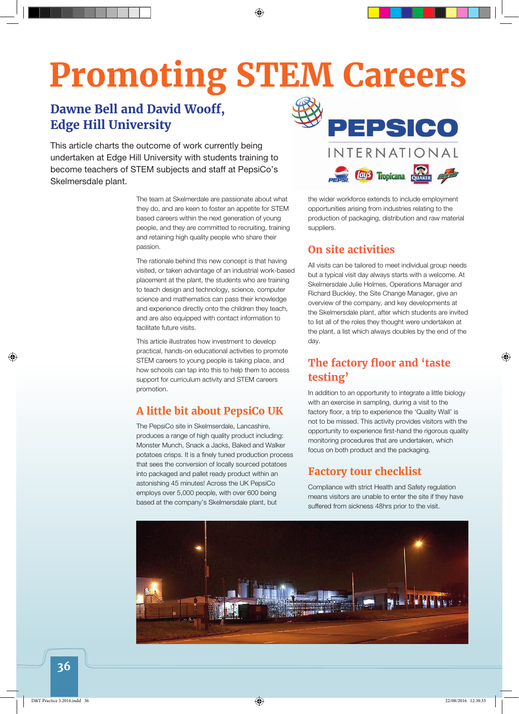# **Promoting STEM Careers**

## **Dawne Bell and David Wooff, Edge Hill University**

This article charts the outcome of work currently being undertaken at Edge Hill University with students training to become teachers of STEM subjects and staff at PepsiCo's Skelmersdale plant.

> The team at Skelmerdale are passionate about what they do, and are keen to foster an appetite for STEM based careers within the next generation of young people, and they are committed to recruiting, training and retaining high quality people who share their passion.

The rationale behind this new concept is that having visited, or taken advantage of an industrial work-based placement at the plant, the students who are training to teach design and technology, science, computer science and mathematics can pass their knowledge and experience directly onto the children they teach, and are also equipped with contact information to facilitate future visits.

This article illustrates how investment to develop practical, hands-on educational activities to promote STEM careers to young people is taking place, and how schools can tap into this to help them to access support for curriculum activity and STEM careers promotion.

#### **A little bit about PepsiCo UK**

The PepsiCo site in Skelmserdale, Lancashire, produces a range of high quality product including: Monster Munch, Snack a Jacks, Baked and Walker potatoes crisps. It is a finely tuned production process that sees the conversion of locally sourced potatoes into packaged and pallet ready product within an astonishing 45 minutes! Across the UK PepsiCo employs over 5,000 people, with over 600 being based at the company's Skelmersdale plant, but



the wider workforce extends to include employment opportunities arising from industries relating to the production of packaging, distribution and raw material suppliers.

#### **On site activities**

All visits can be tailored to meet individual group needs but a typical visit day always starts with a welcome. At Skelmersdale Julie Holmes, Operations Manager and Richard Buckley, the Site Change Manager, give an overview of the company, and key developments at the Skelmersdale plant, after which students are invited to list all of the roles they thought were undertaken at the plant, a list which always doubles by the end of the day.

### **The factory floor and 'taste testing'**

In addition to an opportunity to integrate a little biology with an exercise in sampling, during a visit to the factory floor, a trip to experience the 'Quality Wall' is not to be missed. This activity provides visitors with the opportunity to experience first-hand the rigorous quality monitoring procedures that are undertaken, which focus on both product and the packaging.

#### **Factory tour checklist**

Compliance with strict Health and Safety regulation means visitors are unable to enter the site if they have suffered from sickness 48hrs prior to the visit.